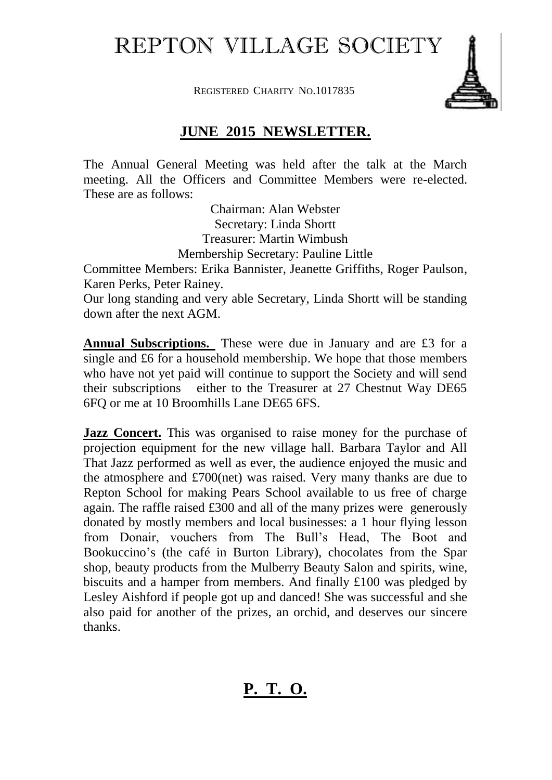REPTON VILLAGE SOCIETY

REGISTERED CHARITY NO.1017835



## **JUNE 2015 NEWSLETTER.**

The Annual General Meeting was held after the talk at the March meeting. All the Officers and Committee Members were re-elected. These are as follows:

> Chairman: Alan Webster Secretary: Linda Shortt Treasurer: Martin Wimbush Membership Secretary: Pauline Little

Committee Members: Erika Bannister, Jeanette Griffiths, Roger Paulson, Karen Perks, Peter Rainey.

Our long standing and very able Secretary, Linda Shortt will be standing down after the next AGM.

**Annual Subscriptions.** These were due in January and are £3 for a single and £6 for a household membership. We hope that those members who have not yet paid will continue to support the Society and will send their subscriptions either to the Treasurer at 27 Chestnut Way DE65 6FQ or me at 10 Broomhills Lane DE65 6FS.

**Jazz Concert.** This was organised to raise money for the purchase of projection equipment for the new village hall. Barbara Taylor and All That Jazz performed as well as ever, the audience enjoyed the music and the atmosphere and £700(net) was raised. Very many thanks are due to Repton School for making Pears School available to us free of charge again. The raffle raised £300 and all of the many prizes were generously donated by mostly members and local businesses: a 1 hour flying lesson from Donair, vouchers from The Bull's Head, The Boot and Bookuccino's (the café in Burton Library), chocolates from the Spar shop, beauty products from the Mulberry Beauty Salon and spirits, wine, biscuits and a hamper from members. And finally £100 was pledged by Lesley Aishford if people got up and danced! She was successful and she also paid for another of the prizes, an orchid, and deserves our sincere thanks.

## **P. T. O.**